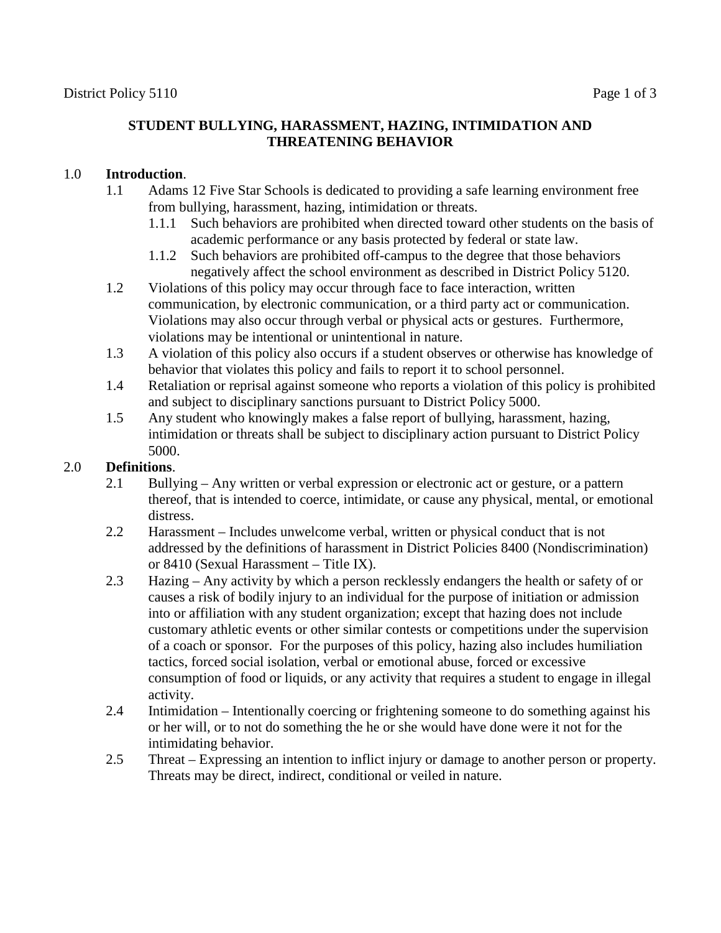## **STUDENT BULLYING, HARASSMENT, HAZING, INTIMIDATION AND THREATENING BEHAVIOR**

## 1.0 **Introduction**.

- 1.1 Adams 12 Five Star Schools is dedicated to providing a safe learning environment free from bullying, harassment, hazing, intimidation or threats.
	- 1.1.1 Such behaviors are prohibited when directed toward other students on the basis of academic performance or any basis protected by federal or state law.
	- 1.1.2 Such behaviors are prohibited off-campus to the degree that those behaviors negatively affect the school environment as described in District Policy 5120.
- 1.2 Violations of this policy may occur through face to face interaction, written communication, by electronic communication, or a third party act or communication. Violations may also occur through verbal or physical acts or gestures. Furthermore, violations may be intentional or unintentional in nature.
- 1.3 A violation of this policy also occurs if a student observes or otherwise has knowledge of behavior that violates this policy and fails to report it to school personnel.
- 1.4 Retaliation or reprisal against someone who reports a violation of this policy is prohibited and subject to disciplinary sanctions pursuant to District Policy 5000.
- 1.5 Any student who knowingly makes a false report of bullying, harassment, hazing, intimidation or threats shall be subject to disciplinary action pursuant to District Policy 5000.

## 2.0 **Definitions**.

- 2.1 Bullying Any written or verbal expression or electronic act or gesture, or a pattern thereof, that is intended to coerce, intimidate, or cause any physical, mental, or emotional distress.
- 2.2 Harassment Includes unwelcome verbal, written or physical conduct that is not addressed by the definitions of harassment in District Policies 8400 (Nondiscrimination) or 8410 (Sexual Harassment – Title IX).
- 2.3 Hazing Any activity by which a person recklessly endangers the health or safety of or causes a risk of bodily injury to an individual for the purpose of initiation or admission into or affiliation with any student organization; except that hazing does not include customary athletic events or other similar contests or competitions under the supervision of a coach or sponsor. For the purposes of this policy, hazing also includes humiliation tactics, forced social isolation, verbal or emotional abuse, forced or excessive consumption of food or liquids, or any activity that requires a student to engage in illegal activity.
- 2.4 Intimidation Intentionally coercing or frightening someone to do something against his or her will, or to not do something the he or she would have done were it not for the intimidating behavior.
- 2.5 Threat Expressing an intention to inflict injury or damage to another person or property. Threats may be direct, indirect, conditional or veiled in nature.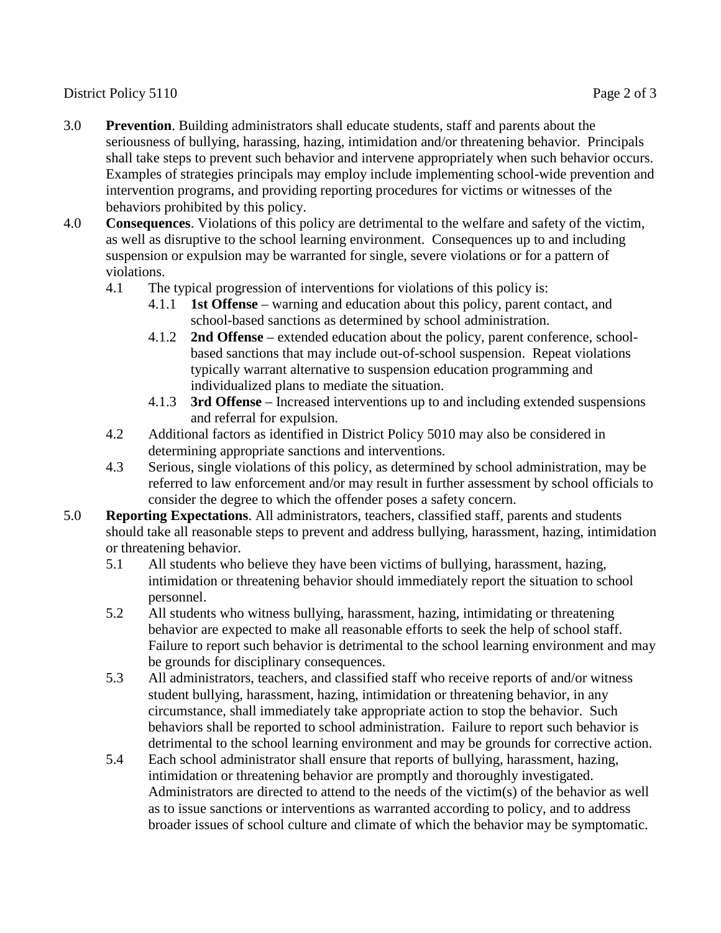## District Policy 5110 Page 2 of 3

- 3.0 **Prevention**. Building administrators shall educate students, staff and parents about the seriousness of bullying, harassing, hazing, intimidation and/or threatening behavior. Principals shall take steps to prevent such behavior and intervene appropriately when such behavior occurs. Examples of strategies principals may employ include implementing school-wide prevention and intervention programs, and providing reporting procedures for victims or witnesses of the behaviors prohibited by this policy.
- 4.0 **Consequences**. Violations of this policy are detrimental to the welfare and safety of the victim, as well as disruptive to the school learning environment. Consequences up to and including suspension or expulsion may be warranted for single, severe violations or for a pattern of violations.
	- 4.1 The typical progression of interventions for violations of this policy is:
		- 4.1.1 **1st Offense** warning and education about this policy, parent contact, and school-based sanctions as determined by school administration.
		- 4.1.2 **2nd Offense** extended education about the policy, parent conference, schoolbased sanctions that may include out-of-school suspension. Repeat violations typically warrant alternative to suspension education programming and individualized plans to mediate the situation.
		- 4.1.3 **3rd Offense** Increased interventions up to and including extended suspensions and referral for expulsion.
	- 4.2 Additional factors as identified in District Policy 5010 may also be considered in determining appropriate sanctions and interventions.
	- 4.3 Serious, single violations of this policy, as determined by school administration, may be referred to law enforcement and/or may result in further assessment by school officials to consider the degree to which the offender poses a safety concern.
- 5.0 **Reporting Expectations**. All administrators, teachers, classified staff, parents and students should take all reasonable steps to prevent and address bullying, harassment, hazing, intimidation or threatening behavior.
	- 5.1 All students who believe they have been victims of bullying, harassment, hazing, intimidation or threatening behavior should immediately report the situation to school personnel.
	- 5.2 All students who witness bullying, harassment, hazing, intimidating or threatening behavior are expected to make all reasonable efforts to seek the help of school staff. Failure to report such behavior is detrimental to the school learning environment and may be grounds for disciplinary consequences.
	- 5.3 All administrators, teachers, and classified staff who receive reports of and/or witness student bullying, harassment, hazing, intimidation or threatening behavior, in any circumstance, shall immediately take appropriate action to stop the behavior. Such behaviors shall be reported to school administration. Failure to report such behavior is detrimental to the school learning environment and may be grounds for corrective action.
	- 5.4 Each school administrator shall ensure that reports of bullying, harassment, hazing, intimidation or threatening behavior are promptly and thoroughly investigated. Administrators are directed to attend to the needs of the victim(s) of the behavior as well as to issue sanctions or interventions as warranted according to policy, and to address broader issues of school culture and climate of which the behavior may be symptomatic.